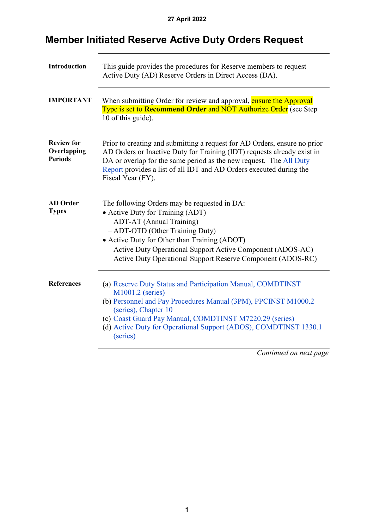<span id="page-0-0"></span>

| Introduction                                       | This guide provides the procedures for Reserve members to request<br>Active Duty (AD) Reserve Orders in Direct Access (DA).                                                                                                                                                                                                          |
|----------------------------------------------------|--------------------------------------------------------------------------------------------------------------------------------------------------------------------------------------------------------------------------------------------------------------------------------------------------------------------------------------|
| <b>IMPORTANT</b>                                   | When submitting Order for review and approval, ensure the Approval<br>Type is set to Recommend Order and NOT Authorize Order (see Step<br>10 of this guide).                                                                                                                                                                         |
| <b>Review for</b><br>Overlapping<br><b>Periods</b> | Prior to creating and submitting a request for AD Orders, ensure no prior<br>AD Orders or Inactive Duty for Training (IDT) requests already exist in<br>DA or overlap for the same period as the new request. The All Duty<br>Report provides a list of all IDT and AD Orders executed during the<br>Fiscal Year (FY).               |
| <b>AD</b> Order<br><b>Types</b>                    | The following Orders may be requested in DA:<br>• Active Duty for Training (ADT)<br>$-$ ADT-AT (Annual Training)<br>- ADT-OTD (Other Training Duty)<br>• Active Duty for Other than Training (ADOT)<br>- Active Duty Operational Support Active Component (ADOS-AC)<br>- Active Duty Operational Support Reserve Component (ADOS-RC) |
| <b>References</b>                                  | (a) Reserve Duty Status and Participation Manual, COMDTINST<br>M1001.2 (series)<br>(b) Personnel and Pay Procedures Manual (3PM), PPCINST M1000.2<br>(series), Chapter 10<br>(c) Coast Guard Pay Manual, COMDTINST M7220.29 (series)<br>(d) Active Duty for Operational Support (ADOS), COMDTINST 1330.1<br>(series)                 |
|                                                    | $\sim$ $\sim$<br>$\mathbf{I}$                                                                                                                                                                                                                                                                                                        |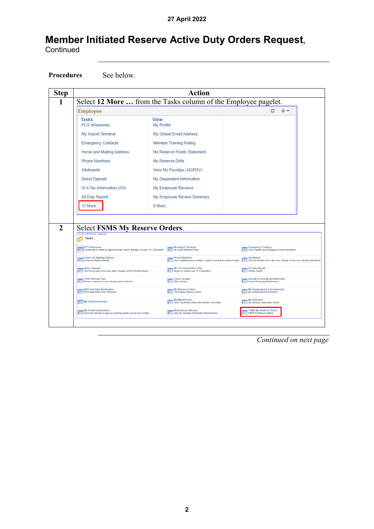Procedures See below.

| <b>Step</b> | <b>Action</b>                                                                                         |                           |                                                                                            |                                                                                |                                                                                  |  |  |
|-------------|-------------------------------------------------------------------------------------------------------|---------------------------|--------------------------------------------------------------------------------------------|--------------------------------------------------------------------------------|----------------------------------------------------------------------------------|--|--|
|             | Select 12 More  from the Tasks column of the Employee pagelet.                                        |                           |                                                                                            |                                                                                |                                                                                  |  |  |
|             | <b>Employee</b>                                                                                       |                           |                                                                                            |                                                                                | 2 తా                                                                             |  |  |
|             | <b>Tasks</b><br><b>PCS eResumes</b>                                                                   | <b>View</b><br>My Profile |                                                                                            |                                                                                |                                                                                  |  |  |
|             | My Airport Terminal                                                                                   |                           | My Global Email Address                                                                    |                                                                                |                                                                                  |  |  |
|             | <b>Emergency Contacts</b>                                                                             |                           | <b>Member Training Rating</b>                                                              |                                                                                |                                                                                  |  |  |
|             | <b>Home and Mailing Address</b>                                                                       |                           | My Reserve Points Statement                                                                |                                                                                |                                                                                  |  |  |
|             | <b>Phone Numbers</b>                                                                                  |                           | My Reserve Drills                                                                          |                                                                                |                                                                                  |  |  |
|             | Allotments                                                                                            |                           | View My Payslips (AD/RSV)                                                                  |                                                                                |                                                                                  |  |  |
|             | <b>Direct Deposit</b>                                                                                 |                           | My Dependent Information                                                                   |                                                                                |                                                                                  |  |  |
|             | W-4 Tax Information USA                                                                               |                           | My Employee Reviews                                                                        |                                                                                |                                                                                  |  |  |
|             | All Duty Report                                                                                       |                           | My Employee Review Summary                                                                 |                                                                                |                                                                                  |  |  |
|             | 12 More                                                                                               | 8 More                    |                                                                                            |                                                                                |                                                                                  |  |  |
|             |                                                                                                       |                           |                                                                                            |                                                                                |                                                                                  |  |  |
|             |                                                                                                       |                           |                                                                                            |                                                                                |                                                                                  |  |  |
|             |                                                                                                       |                           |                                                                                            |                                                                                |                                                                                  |  |  |
|             | <b>Select FSMS My Reserve Orders.</b><br>CG AD Self Service: Employee                                 |                           |                                                                                            |                                                                                |                                                                                  |  |  |
|             | <b>Tasks</b>                                                                                          |                           |                                                                                            |                                                                                |                                                                                  |  |  |
|             | PCS eResumes<br>Careers site to create an applicant profile, search and apply for jobs. PCS eResumes. |                           | <b>My Airport Terminal</b><br>My Airport Terminal Orders                                   | <b>Emergency Contacts</b><br>Add or update your emergency contact information. |                                                                                  |  |  |
|             | Home and Mailing Address                                                                              |                           | <b>Phone Numbers</b><br>Add or update phone numbers, or specify your primary phone number. | <b>Allotments</b>                                                              |                                                                                  |  |  |
|             | Direct Deposit<br>This link will take you to view and/or change your EFT/Direct Deposit.              |                           | <b>W-4 Tax Information USA</b><br>Review or change your W-4 information                    | All Duty Report<br>All Duty Report                                             | This link will take you to view, add, change, or stop your voluntary deductions. |  |  |
|             | Thrift Savings Plan<br>The Review a summary of your savings plan enrollments                          |                           | <b>Ethnic Groups</b><br><b>Ethnic Groups</b>                                               | <b>Annual Screening Questionnaire</b><br>Annual Screening Questionnaire        |                                                                                  |  |  |
|             | BAH Dep Data Verification<br>BAH Dependency Data Verification                                         |                           | <b>My Reserve Orders</b><br>View/Update Reserve Orders                                     | <b>My Assignments Endorsements</b><br>My Assignments Endorsements              |                                                                                  |  |  |
|             | My Email Addresses                                                                                    |                           | My Member Info<br>XMLP report that contains the Member Information                         | My eResume<br>My eResume Submission Report                                     |                                                                                  |  |  |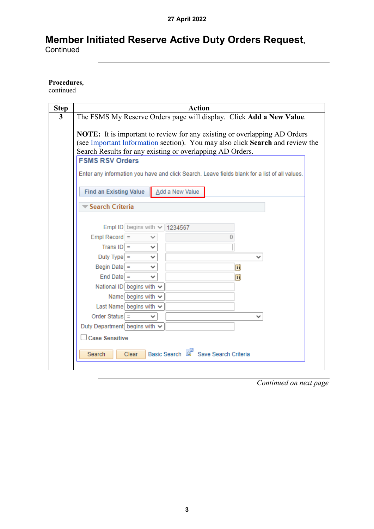#### **Procedures**,

continued

| <b>Step</b>             | <b>Action</b>                                                                                 |  |  |  |  |
|-------------------------|-----------------------------------------------------------------------------------------------|--|--|--|--|
| $\overline{\mathbf{3}}$ | The FSMS My Reserve Orders page will display. Click Add a New Value.                          |  |  |  |  |
|                         | <b>NOTE:</b> It is important to review for any existing or overlapping AD Orders              |  |  |  |  |
|                         | (see Important Information section). You may also click Search and review the                 |  |  |  |  |
|                         | Search Results for any existing or overlapping AD Orders.                                     |  |  |  |  |
|                         | <b>FSMS RSV Orders</b>                                                                        |  |  |  |  |
|                         | Enter any information you have and click Search. Leave fields blank for a list of all values. |  |  |  |  |
|                         |                                                                                               |  |  |  |  |
|                         | <b>Find an Existing Value</b><br>Add a New Value                                              |  |  |  |  |
|                         | $\blacktriangledown$ Search Criteria                                                          |  |  |  |  |
|                         |                                                                                               |  |  |  |  |
|                         | Empl ID begins with $\sim$<br>1234567                                                         |  |  |  |  |
|                         | $Empl$ Record $=$                                                                             |  |  |  |  |
|                         | Trans $ D $ =<br>v                                                                            |  |  |  |  |
|                         | Duty Type $=$<br>v                                                                            |  |  |  |  |
|                         | Begin Date $=$<br>Ħ<br>v                                                                      |  |  |  |  |
|                         | $End$ Date $=$<br>Ħ                                                                           |  |  |  |  |
|                         | National ID begins with v                                                                     |  |  |  |  |
|                         | Name begins with $\sim$                                                                       |  |  |  |  |
|                         | Last Name begins with $\vee$                                                                  |  |  |  |  |
|                         | Order Status $=$<br>◡                                                                         |  |  |  |  |
|                         | Duty Department begins with $\sim$                                                            |  |  |  |  |
|                         | <b>Case Sensitive</b>                                                                         |  |  |  |  |
|                         | Basic Search<br>Save Search Criteria<br>Clear<br>Search                                       |  |  |  |  |
|                         |                                                                                               |  |  |  |  |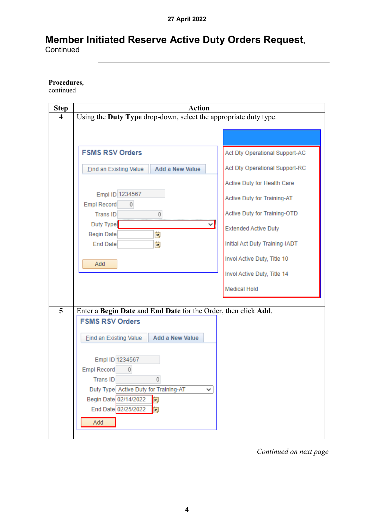#### **Procedures**,

continued

| <b>Step</b>             | <b>Action</b>                                                    |                                |
|-------------------------|------------------------------------------------------------------|--------------------------------|
| $\overline{\mathbf{4}}$ | Using the Duty Type drop-down, select the appropriate duty type. |                                |
|                         |                                                                  |                                |
|                         |                                                                  |                                |
|                         | <b>FSMS RSV Orders</b>                                           | Act Dty Operational Support-AC |
|                         | <b>Add a New Value</b><br><b>Find an Existing Value</b>          | Act Dty Operational Support-RC |
|                         |                                                                  | Active Duty for Health Care    |
|                         | Empl ID 1234567<br><b>Empl Record</b><br>$\overline{0}$          | Active Duty for Training-AT    |
|                         | <b>Trans ID</b><br>$\overline{0}$                                | Active Duty for Training-OTD   |
|                         | Duty Type<br>✓<br>苘<br><b>Begin Date</b>                         | <b>Extended Active Duty</b>    |
|                         | End Date<br>Ħ                                                    | Initial Act Duty Training-IADT |
|                         | Add                                                              | Invol Active Duty, Title 10    |
|                         |                                                                  | Invol Active Duty, Title 14    |
|                         |                                                                  | <b>Medical Hold</b>            |
| 5                       | Enter a Begin Date and End Date for the Order, then click Add.   |                                |
|                         | <b>FSMS RSV Orders</b>                                           |                                |
|                         | <b>Add a New Value</b><br><b>Find an Existing Value</b>          |                                |
|                         | Empl ID 1234567                                                  |                                |
|                         | <b>Empl Record</b><br>$\overline{0}$                             |                                |
|                         | $\Omega$<br><b>TransID</b>                                       |                                |
|                         | Duty Type Active Duty for Training-AT<br>✓                       |                                |
|                         | Begin Date 02/14/2022<br>E                                       |                                |
|                         | End Date 02/25/2022<br>EU                                        |                                |
|                         | Add                                                              |                                |
|                         |                                                                  |                                |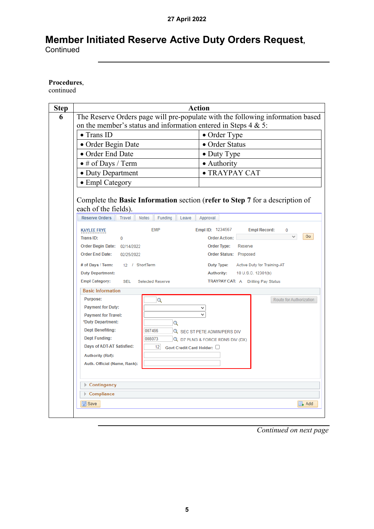Continued

#### **Procedures**,

continued

| <b>Step</b> |                                                                                                                                                                                                                                                                                                                                                                                                                                                             | <b>Action</b>                                                                                                                                                                                                                                                                |  |  |  |  |
|-------------|-------------------------------------------------------------------------------------------------------------------------------------------------------------------------------------------------------------------------------------------------------------------------------------------------------------------------------------------------------------------------------------------------------------------------------------------------------------|------------------------------------------------------------------------------------------------------------------------------------------------------------------------------------------------------------------------------------------------------------------------------|--|--|--|--|
| 6           | The Reserve Orders page will pre-populate with the following information based                                                                                                                                                                                                                                                                                                                                                                              |                                                                                                                                                                                                                                                                              |  |  |  |  |
|             | on the member's status and information entered in Steps $4 \& 5$ :                                                                                                                                                                                                                                                                                                                                                                                          |                                                                                                                                                                                                                                                                              |  |  |  |  |
|             | $\bullet$ Trans ID                                                                                                                                                                                                                                                                                                                                                                                                                                          | • Order Type                                                                                                                                                                                                                                                                 |  |  |  |  |
|             | · Order Begin Date                                                                                                                                                                                                                                                                                                                                                                                                                                          | • Order Status                                                                                                                                                                                                                                                               |  |  |  |  |
|             | • Order End Date                                                                                                                                                                                                                                                                                                                                                                                                                                            | $\bullet$ Duty Type                                                                                                                                                                                                                                                          |  |  |  |  |
|             | $\bullet$ # of Days / Term                                                                                                                                                                                                                                                                                                                                                                                                                                  | • Authority                                                                                                                                                                                                                                                                  |  |  |  |  |
|             | • Duty Department                                                                                                                                                                                                                                                                                                                                                                                                                                           | · TRAYPAY CAT                                                                                                                                                                                                                                                                |  |  |  |  |
|             | • Empl Category                                                                                                                                                                                                                                                                                                                                                                                                                                             |                                                                                                                                                                                                                                                                              |  |  |  |  |
|             | Complete the Basic Information section (refer to Step 7 for a description of<br>each of the fields).<br><b>Reserve Orders</b><br><b>Travel</b><br><b>Notes</b><br>Funding<br>Leave<br><b>EMP</b><br><b>KAYLEE FRYE</b><br><b>Trans ID:</b><br>$\theta$<br>Order Begin Date: 02/14/2022<br><b>Order End Date:</b><br>02/25/2022<br># of Days / Term:<br>12 / ShortTerm<br><b>Duty Department:</b><br><b>Empl Category:</b><br>SEL<br><b>Selected Reserve</b> | Approval<br>Empl ID: 1234567<br><b>Empl Record:</b><br>0<br>Go<br><b>Order Action:</b><br>Order Type:<br>Reserve<br>Order Status: Proposed<br>Duty Type: Active Duty for Training-AT<br>10 U.S.C. 12301(b)<br><b>Authority:</b><br><b>TRAYPAY CAT: A</b> Drilling Pay Status |  |  |  |  |
|             | <b>Basic Information</b>                                                                                                                                                                                                                                                                                                                                                                                                                                    |                                                                                                                                                                                                                                                                              |  |  |  |  |
|             | Purpose:<br>Q<br><b>Payment for Duty:</b><br><b>Payment for Travel:</b><br>*Duty Department:<br>$\alpha$<br><b>Dept Benefiting:</b><br>007496<br><b>Dept Funding:</b><br>008073<br>Days of ADT-AT Satisfied:<br>12<br>Govt Credit Card Holder: □<br><b>Authority (Ref):</b><br>Auth. Official (Name, Rank):                                                                                                                                                 | Route for Authorization<br>Q SEC ST PETE ADMIN/PERS DIV<br>Q D7 PLNG & FORCE RDNS DIV (DX)                                                                                                                                                                                   |  |  |  |  |
|             | Contingency                                                                                                                                                                                                                                                                                                                                                                                                                                                 |                                                                                                                                                                                                                                                                              |  |  |  |  |
|             | Compliance                                                                                                                                                                                                                                                                                                                                                                                                                                                  |                                                                                                                                                                                                                                                                              |  |  |  |  |
|             | <b>O</b> Save                                                                                                                                                                                                                                                                                                                                                                                                                                               | <b>E.</b> Add                                                                                                                                                                                                                                                                |  |  |  |  |
|             |                                                                                                                                                                                                                                                                                                                                                                                                                                                             |                                                                                                                                                                                                                                                                              |  |  |  |  |

*Continued on next page*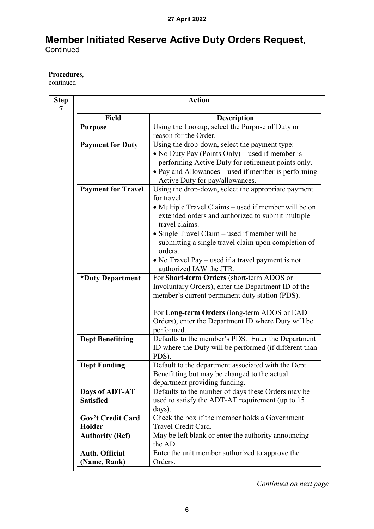#### **Procedures**,

continued

| <b>Action</b>             |                                                        |  |  |  |
|---------------------------|--------------------------------------------------------|--|--|--|
|                           |                                                        |  |  |  |
| Field                     | <b>Description</b>                                     |  |  |  |
| <b>Purpose</b>            | Using the Lookup, select the Purpose of Duty or        |  |  |  |
|                           | reason for the Order.                                  |  |  |  |
| <b>Payment for Duty</b>   | Using the drop-down, select the payment type:          |  |  |  |
|                           | • No Duty Pay (Points Only) – used if member is        |  |  |  |
|                           | performing Active Duty for retirement points only.     |  |  |  |
|                           | • Pay and Allowances – used if member is performing    |  |  |  |
|                           | Active Duty for pay/allowances.                        |  |  |  |
| <b>Payment for Travel</b> | Using the drop-down, select the appropriate payment    |  |  |  |
|                           | for travel:                                            |  |  |  |
|                           | • Multiple Travel Claims – used if member will be on   |  |  |  |
|                           | extended orders and authorized to submit multiple      |  |  |  |
|                           | travel claims.                                         |  |  |  |
|                           | • Single Travel Claim – used if member will be         |  |  |  |
|                           | submitting a single travel claim upon completion of    |  |  |  |
|                           | orders.                                                |  |  |  |
|                           | • No Travel Pay – used if a travel payment is not      |  |  |  |
|                           | authorized IAW the JTR.                                |  |  |  |
| *Duty Department          | For Short-term Orders (short-term ADOS or              |  |  |  |
|                           | Involuntary Orders), enter the Department ID of the    |  |  |  |
|                           | member's current permanent duty station (PDS).         |  |  |  |
|                           | For Long-term Orders (long-term ADOS or EAD            |  |  |  |
|                           | Orders), enter the Department ID where Duty will be    |  |  |  |
|                           | performed.                                             |  |  |  |
| <b>Dept Benefitting</b>   | Defaults to the member's PDS. Enter the Department     |  |  |  |
|                           | ID where the Duty will be performed (if different than |  |  |  |
|                           | PDS).                                                  |  |  |  |
| <b>Dept Funding</b>       | Default to the department associated with the Dept     |  |  |  |
|                           | Benefitting but may be changed to the actual           |  |  |  |
|                           | department providing funding.                          |  |  |  |
| Days of ADT-AT            | Defaults to the number of days these Orders may be     |  |  |  |
| <b>Satisfied</b>          | used to satisfy the ADT-AT requirement (up to 15       |  |  |  |
|                           | days).                                                 |  |  |  |
| <b>Gov't Credit Card</b>  | Check the box if the member holds a Government         |  |  |  |
| Holder                    | Travel Credit Card.                                    |  |  |  |
| <b>Authority (Ref)</b>    | May be left blank or enter the authority announcing    |  |  |  |
|                           | the AD.                                                |  |  |  |
| <b>Auth. Official</b>     | Enter the unit member authorized to approve the        |  |  |  |
| (Name, Rank)              | Orders.                                                |  |  |  |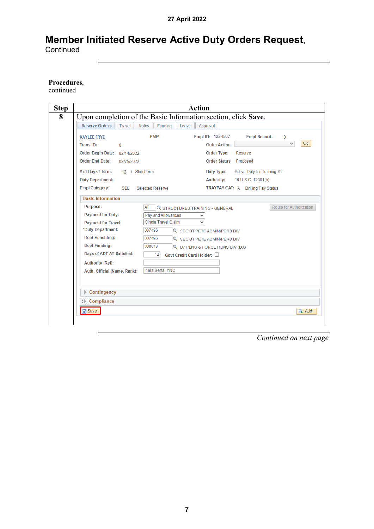#### **Procedures**,

continued

| <b>Step</b> |                                                                | <b>Action</b>                                           |                         |  |  |  |  |
|-------------|----------------------------------------------------------------|---------------------------------------------------------|-------------------------|--|--|--|--|
| 8           | Upon completion of the Basic Information section, click Save.  |                                                         |                         |  |  |  |  |
|             | <b>Reserve Orders</b><br>Travel<br><b>Notes</b><br>Funding     | Leave<br>Approval                                       |                         |  |  |  |  |
|             | <b>EMP</b><br><b>KAYLEE FRYE</b>                               | Empl ID: 1234567<br><b>Empl Record:</b>                 | 0<br>Go                 |  |  |  |  |
|             | <b>Trans ID:</b><br>$\mathbf{0}$                               | <b>Order Action:</b>                                    |                         |  |  |  |  |
|             | Order Begin Date: 02/14/2022<br><b>Order End Date:</b>         | <b>Order Type:</b><br>Reserve<br>Order Status: Proposed |                         |  |  |  |  |
|             | 02/25/2022                                                     |                                                         |                         |  |  |  |  |
|             | # of Days / Term:<br>12 / ShortTerm                            | Duty Type:<br>Active Duty for Training-AT               |                         |  |  |  |  |
|             | <b>Duty Department:</b>                                        | <b>Authority:</b><br>10 U.S.C. 12301(b)                 |                         |  |  |  |  |
|             | <b>Empl Category:</b><br><b>SEL</b><br><b>Selected Reserve</b> | <b>TRAYPAY CAT: A Drilling Pay Status</b>               |                         |  |  |  |  |
|             | <b>Basic Information</b>                                       |                                                         |                         |  |  |  |  |
|             | Purpose:<br>AT                                                 | <b>Q STRUCTURED TRAINING - GENERAL</b>                  | Route for Authorization |  |  |  |  |
|             | <b>Payment for Duty:</b><br>Pay and Allowances                 |                                                         |                         |  |  |  |  |
|             | Single Travel Claim<br><b>Payment for Travel:</b>              |                                                         |                         |  |  |  |  |
|             | *Duty Department:<br>007496<br><b>Dept Benefiting:</b>         | <b>Q</b> SEC ST PETE ADMIN/PERS DIV                     |                         |  |  |  |  |
|             | 007496<br><b>Dept Funding:</b><br>008073                       | <b>Q</b> SEC ST PETE ADMIN/PERS DIV                     |                         |  |  |  |  |
|             | Days of ADT-AT Satisfied:<br>12                                | Q D7 PLNG & FORCE RDNS DIV (DX)                         |                         |  |  |  |  |
|             | <b>Authority (Ref):</b>                                        | Govt Credit Card Holder:                                |                         |  |  |  |  |
|             | Inara Serra, YNC<br>Auth. Official (Name, Rank):               |                                                         |                         |  |  |  |  |
|             |                                                                |                                                         |                         |  |  |  |  |
|             |                                                                |                                                         |                         |  |  |  |  |
|             | Contingency                                                    |                                                         |                         |  |  |  |  |
|             | $\triangleright$ Compliance                                    |                                                         |                         |  |  |  |  |
|             | $\boxed{=}$ Save                                               |                                                         | <b>B</b> . Add          |  |  |  |  |
|             |                                                                |                                                         |                         |  |  |  |  |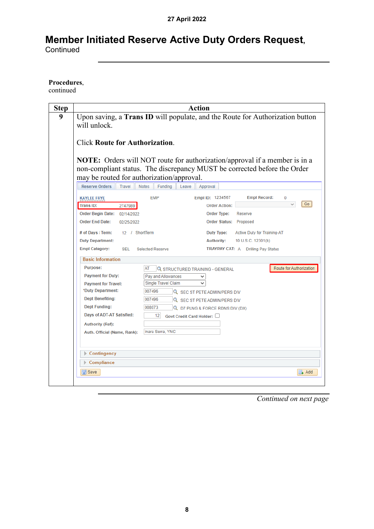#### **Procedures**,

continued

| <b>Step</b> |                                                                                                                                                               | <b>Action</b>                                                                      |  |  |  |  |  |
|-------------|---------------------------------------------------------------------------------------------------------------------------------------------------------------|------------------------------------------------------------------------------------|--|--|--|--|--|
| 9           | Upon saving, a Trans ID will populate, and the Route for Authorization button<br>will unlock.                                                                 |                                                                                    |  |  |  |  |  |
|             | <b>Click Route for Authorization.</b>                                                                                                                         |                                                                                    |  |  |  |  |  |
|             | <b>NOTE:</b> Orders will NOT route for authorization/approval if a member is in a<br>non-compliant status. The discrepancy MUST be corrected before the Order |                                                                                    |  |  |  |  |  |
|             | <b>Reserve Orders</b><br><b>Travel</b>                                                                                                                        | may be routed for authorization/approval.<br>Notes<br>Funding<br>Leave<br>Approval |  |  |  |  |  |
|             | <b>KAYLEE FRYE</b>                                                                                                                                            | Empl ID: 1234567<br><b>Empl Record:</b><br><b>EMP</b>                              |  |  |  |  |  |
|             | Trans ID:<br>2747989                                                                                                                                          | Go<br><b>Order Action:</b>                                                         |  |  |  |  |  |
|             | Order Begin Date: 02/14/2022                                                                                                                                  | Order Type:<br>Reserve                                                             |  |  |  |  |  |
|             | <b>Order End Date:</b><br>02/25/2022                                                                                                                          | Order Status: Proposed                                                             |  |  |  |  |  |
|             | # of Days / Term:<br>12 / ShortTerm                                                                                                                           | Active Duty for Training-AT<br>Duty Type:                                          |  |  |  |  |  |
|             | <b>Duty Department:</b>                                                                                                                                       | <b>Authority:</b><br>10 U.S.C. 12301(b)                                            |  |  |  |  |  |
|             | <b>Empl Category:</b><br><b>SEL</b>                                                                                                                           | <b>Selected Reserve</b><br><b>TRAYPAY CAT: A Drilling Pay Status</b>               |  |  |  |  |  |
|             | <b>Basic Information</b>                                                                                                                                      |                                                                                    |  |  |  |  |  |
|             | Purpose:                                                                                                                                                      | Route for Authorization<br>AT<br><b>Q STRUCTURED TRAINING - GENERAL</b>            |  |  |  |  |  |
|             | <b>Payment for Duty:</b>                                                                                                                                      | Pay and Allowances                                                                 |  |  |  |  |  |
|             | <b>Payment for Travel:</b><br>*Duty Department:                                                                                                               | Single Travel Claim<br>007496<br><b>Q SEC ST PETE ADMIN/PERS DIV</b>               |  |  |  |  |  |
|             | <b>Dept Benefiting:</b>                                                                                                                                       | 007496<br><b>Q SEC ST PETE ADMIN/PERS DIV</b>                                      |  |  |  |  |  |
|             | <b>Dept Funding:</b>                                                                                                                                          | 008073<br>Q D7 PLNG & FORCE RDNS DIV (DX)                                          |  |  |  |  |  |
|             | Days of ADT-AT Satisfied:                                                                                                                                     | 12<br>Govt Credit Card Holder:                                                     |  |  |  |  |  |
|             | Authority (Ref):                                                                                                                                              |                                                                                    |  |  |  |  |  |
|             | Auth. Official (Name, Rank):                                                                                                                                  | Inara Serra, YNC                                                                   |  |  |  |  |  |
|             |                                                                                                                                                               |                                                                                    |  |  |  |  |  |
|             | Contingency                                                                                                                                                   |                                                                                    |  |  |  |  |  |
|             | Compliance                                                                                                                                                    |                                                                                    |  |  |  |  |  |
|             | <b>日</b> Save                                                                                                                                                 | <b>EL</b> Add                                                                      |  |  |  |  |  |
|             |                                                                                                                                                               |                                                                                    |  |  |  |  |  |

*Continued on next page*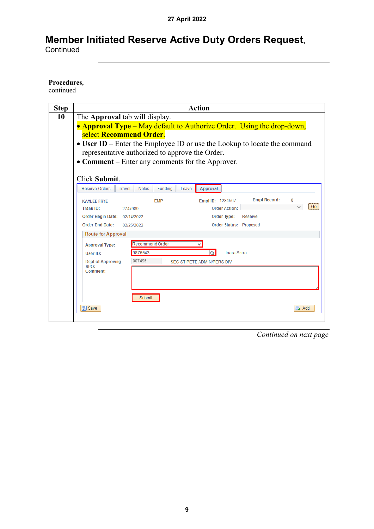#### **Procedures**,

continued

| <b>Step</b> | <b>Action</b>                                                                                                                      |  |  |  |  |  |
|-------------|------------------------------------------------------------------------------------------------------------------------------------|--|--|--|--|--|
| 10          | The Approval tab will display.                                                                                                     |  |  |  |  |  |
|             | • Approval Type – May default to Authorize Order. Using the drop-down,                                                             |  |  |  |  |  |
|             | select Recommend Order.                                                                                                            |  |  |  |  |  |
|             | • User ID – Enter the Employee ID or use the Lookup to locate the command                                                          |  |  |  |  |  |
|             | representative authorized to approve the Order.                                                                                    |  |  |  |  |  |
|             | • Comment – Enter any comments for the Approver.                                                                                   |  |  |  |  |  |
|             |                                                                                                                                    |  |  |  |  |  |
|             | Click Submit.                                                                                                                      |  |  |  |  |  |
|             | <b>Reserve Orders</b><br>Notes<br><b>Funding</b><br><b>Travel</b><br>Approval<br>Leave                                             |  |  |  |  |  |
|             |                                                                                                                                    |  |  |  |  |  |
|             | <b>Empl Record:</b><br>$\Omega$<br>Empl ID: 1234567<br><b>EMP</b><br><b>KAYLEE FRYE</b><br>Go<br><b>Order Action:</b><br>Trans ID: |  |  |  |  |  |
|             | 2747989<br><b>Order Type:</b><br>Reserve                                                                                           |  |  |  |  |  |
|             | Order Begin Date: 02/14/2022<br><b>Order End Date:</b><br>Order Status: Proposed<br>02/25/2022                                     |  |  |  |  |  |
|             |                                                                                                                                    |  |  |  |  |  |
|             | <b>Route for Approval</b>                                                                                                          |  |  |  |  |  |
|             | Recommend Order<br><b>Approval Type:</b>                                                                                           |  |  |  |  |  |
|             | 9876543<br><b>Inara Serra</b><br>User ID:                                                                                          |  |  |  |  |  |
|             | 007496<br><b>Dept of Approving</b><br>SEC ST PETE ADMIN/PERS DIV<br>SPO:                                                           |  |  |  |  |  |
|             | Comment:                                                                                                                           |  |  |  |  |  |
|             |                                                                                                                                    |  |  |  |  |  |
|             |                                                                                                                                    |  |  |  |  |  |
|             | Submit                                                                                                                             |  |  |  |  |  |
|             | <b>圖</b> Save<br>$\mathbb{R}$ . Add                                                                                                |  |  |  |  |  |
|             |                                                                                                                                    |  |  |  |  |  |